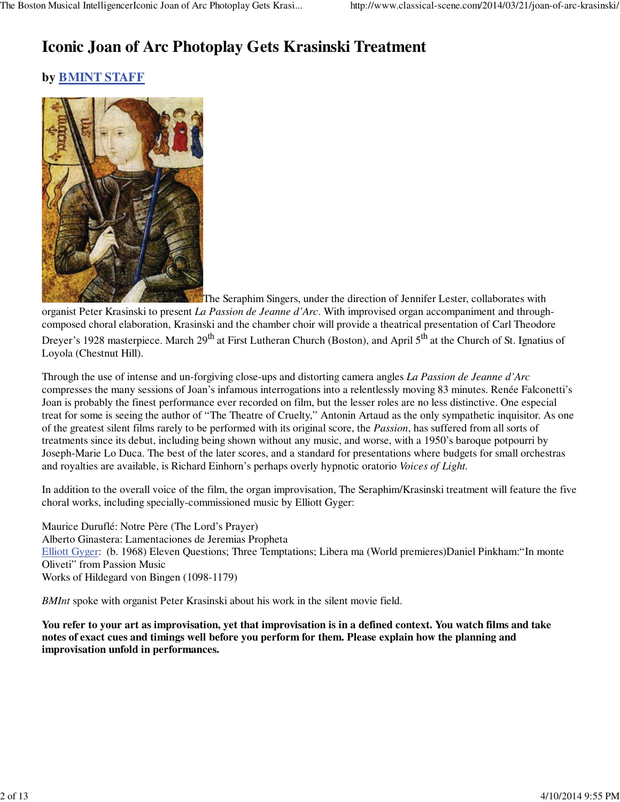# **Iconic Joan of Arc Photoplay Gets Krasinski Treatment**

# **by BMINT STAFF**



The Seraphim Singers, under the direction of Jennifer Lester, collaborates with organist Peter Krasinski to present *La Passion de Jeanne d'Arc*. With improvised organ accompaniment and throughcomposed choral elaboration, Krasinski and the chamber choir will provide a theatrical presentation of Carl Theodore Dreyer's 1928 masterpiece. March 29<sup>th</sup> at First Lutheran Church (Boston), and April 5<sup>th</sup> at the Church of St. Ignatius of Loyola (Chestnut Hill).

Through the use of intense and un-forgiving close-ups and distorting camera angles *La Passion de Jeanne d'Arc* compresses the many sessions of Joan's infamous interrogations into a relentlessly moving 83 minutes. Renée Falconetti's Joan is probably the finest performance ever recorded on film, but the lesser roles are no less distinctive. One especial treat for some is seeing the author of "The Theatre of Cruelty," Antonin Artaud as the only sympathetic inquisitor. As one of the greatest silent films rarely to be performed with its original score, the *Passion*, has suffered from all sorts of treatments since its debut, including being shown without any music, and worse, with a 1950's baroque potpourri by Joseph-Marie Lo Duca. The best of the later scores, and a standard for presentations where budgets for small orchestras and royalties are available, is Richard Einhorn's perhaps overly hypnotic oratorio *Voices of Light.*

In addition to the overall voice of the film, the organ improvisation, The Seraphim/Krasinski treatment will feature the five choral works, including specially-commissioned music by Elliott Gyger:

Maurice Duruflé: Notre Père (The Lord's Prayer) Alberto Ginastera: Lamentaciones de Jeremias Propheta Elliott Gyger: (b. 1968) Eleven Questions; Three Temptations; Libera ma (World premieres)Daniel Pinkham:"In monte Oliveti" from Passion Music Works of Hildegard von Bingen (1098-1179)

*BMInt* spoke with organist Peter Krasinski about his work in the silent movie field.

**You refer to your art as improvisation, yet that improvisation is in a defined context. You watch films and take notes of exact cues and timings well before you perform for them. Please explain how the planning and improvisation unfold in performances.**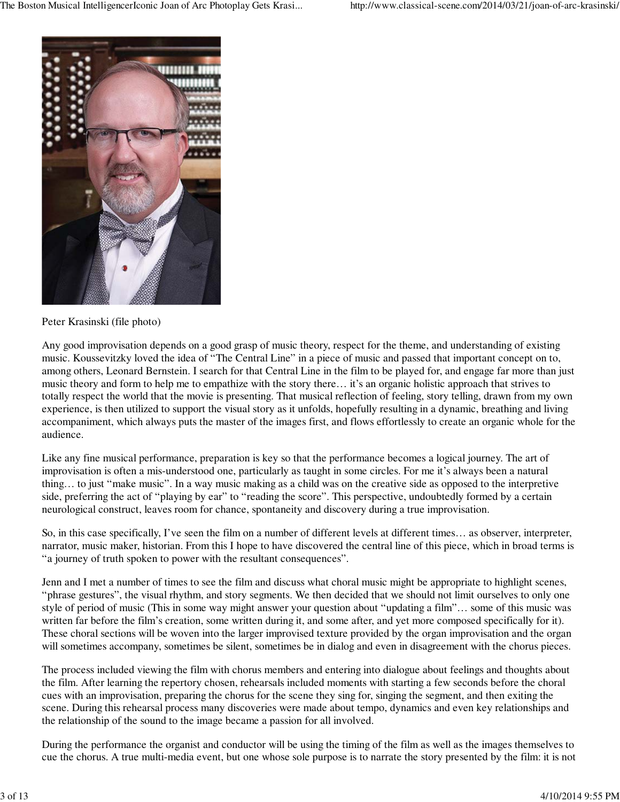

Peter Krasinski (file photo)

Any good improvisation depends on a good grasp of music theory, respect for the theme, and understanding of existing music. Koussevitzky loved the idea of "The Central Line" in a piece of music and passed that important concept on to, among others, Leonard Bernstein. I search for that Central Line in the film to be played for, and engage far more than just music theory and form to help me to empathize with the story there… it's an organic holistic approach that strives to totally respect the world that the movie is presenting. That musical reflection of feeling, story telling, drawn from my own experience, is then utilized to support the visual story as it unfolds, hopefully resulting in a dynamic, breathing and living accompaniment, which always puts the master of the images first, and flows effortlessly to create an organic whole for the audience.

Like any fine musical performance, preparation is key so that the performance becomes a logical journey. The art of improvisation is often a mis-understood one, particularly as taught in some circles. For me it's always been a natural thing… to just "make music". In a way music making as a child was on the creative side as opposed to the interpretive side, preferring the act of "playing by ear" to "reading the score". This perspective, undoubtedly formed by a certain neurological construct, leaves room for chance, spontaneity and discovery during a true improvisation.

So, in this case specifically, I've seen the film on a number of different levels at different times… as observer, interpreter, narrator, music maker, historian. From this I hope to have discovered the central line of this piece, which in broad terms is "a journey of truth spoken to power with the resultant consequences".

Jenn and I met a number of times to see the film and discuss what choral music might be appropriate to highlight scenes, "phrase gestures", the visual rhythm, and story segments. We then decided that we should not limit ourselves to only one style of period of music (This in some way might answer your question about "updating a film"… some of this music was written far before the film's creation, some written during it, and some after, and yet more composed specifically for it). These choral sections will be woven into the larger improvised texture provided by the organ improvisation and the organ will sometimes accompany, sometimes be silent, sometimes be in dialog and even in disagreement with the chorus pieces.

The process included viewing the film with chorus members and entering into dialogue about feelings and thoughts about the film. After learning the repertory chosen, rehearsals included moments with starting a few seconds before the choral cues with an improvisation, preparing the chorus for the scene they sing for, singing the segment, and then exiting the scene. During this rehearsal process many discoveries were made about tempo, dynamics and even key relationships and the relationship of the sound to the image became a passion for all involved.

During the performance the organist and conductor will be using the timing of the film as well as the images themselves to cue the chorus. A true multi-media event, but one whose sole purpose is to narrate the story presented by the film: it is not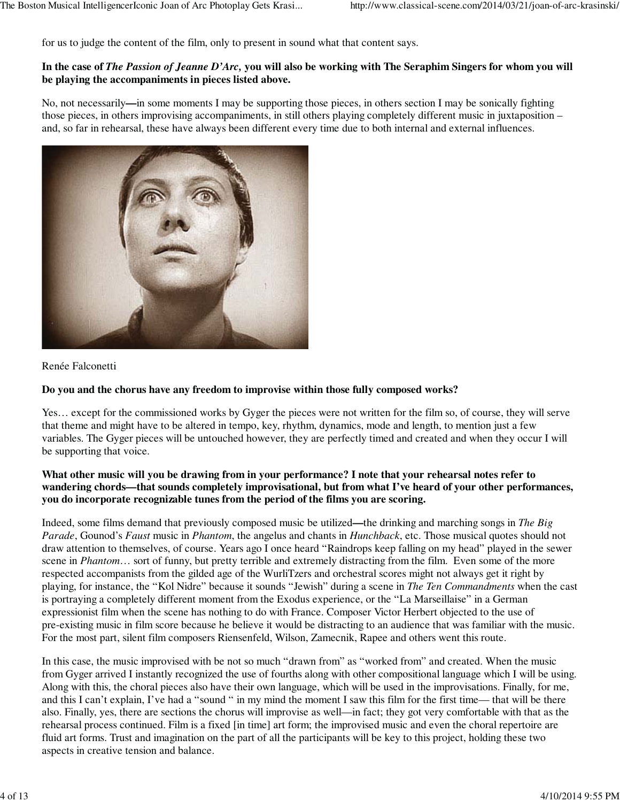for us to judge the content of the film, only to present in sound what that content says.

#### **In the case of** *The Passion of Jeanne D'Arc,* **you will also be working with The Seraphim Singers for whom you will be playing the accompaniments in pieces listed above.**

No, not necessarily**—**in some moments I may be supporting those pieces, in others section I may be sonically fighting those pieces, in others improvising accompaniments, in still others playing completely different music in juxtaposition – and, so far in rehearsal, these have always been different every time due to both internal and external influences.



Renée Falconetti

# **Do you and the chorus have any freedom to improvise within those fully composed works?**

Yes… except for the commissioned works by Gyger the pieces were not written for the film so, of course, they will serve that theme and might have to be altered in tempo, key, rhythm, dynamics, mode and length, to mention just a few variables. The Gyger pieces will be untouched however, they are perfectly timed and created and when they occur I will be supporting that voice.

#### **What other music will you be drawing from in your performance? I note that your rehearsal notes refer to wandering chords—that sounds completely improvisational, but from what I've heard of your other performances, you do incorporate recognizable tunes from the period of the films you are scoring.**

Indeed, some films demand that previously composed music be utilized**—**the drinking and marching songs in *The Big Parade*, Gounod's *Faust* music in *Phantom*, the angelus and chants in *Hunchback*, etc. Those musical quotes should not draw attention to themselves, of course. Years ago I once heard "Raindrops keep falling on my head" played in the sewer scene in *Phantom*… sort of funny, but pretty terrible and extremely distracting from the film. Even some of the more respected accompanists from the gilded age of the WurliTzers and orchestral scores might not always get it right by playing, for instance, the "Kol Nidre" because it sounds "Jewish" during a scene in *The Ten Commandments* when the cast is portraying a completely different moment from the Exodus experience, or the "La Marseillaise" in a German expressionist film when the scene has nothing to do with France. Composer Victor Herbert objected to the use of pre-existing music in film score because he believe it would be distracting to an audience that was familiar with the music. For the most part, silent film composers Riensenfeld, Wilson, Zamecnik, Rapee and others went this route.

In this case, the music improvised with be not so much "drawn from" as "worked from" and created. When the music from Gyger arrived I instantly recognized the use of fourths along with other compositional language which I will be using. Along with this, the choral pieces also have their own language, which will be used in the improvisations. Finally, for me, and this I can't explain, I've had a "sound " in my mind the moment I saw this film for the first time— that will be there also. Finally, yes, there are sections the chorus will improvise as well—in fact; they got very comfortable with that as the rehearsal process continued. Film is a fixed [in time] art form; the improvised music and even the choral repertoire are fluid art forms. Trust and imagination on the part of all the participants will be key to this project, holding these two aspects in creative tension and balance.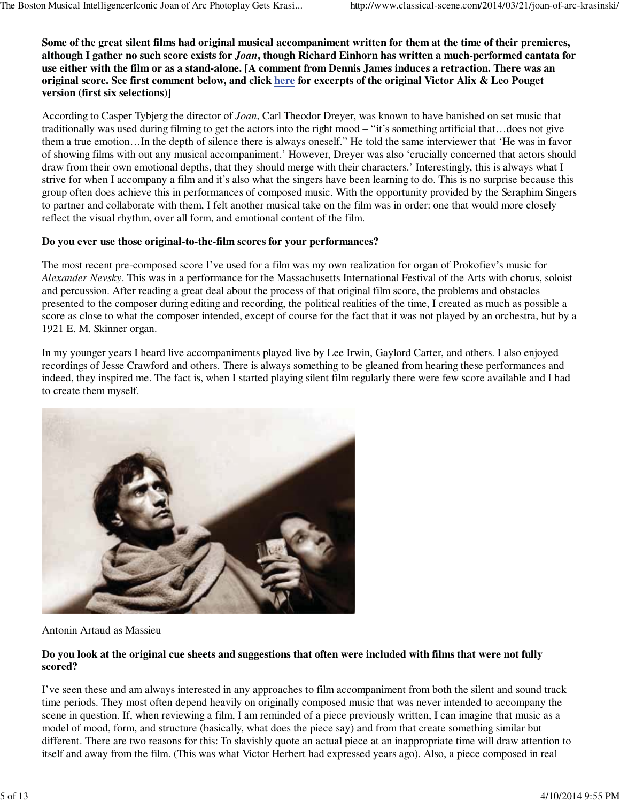**Some of the great silent films had original musical accompaniment written for them at the time of their premieres, although I gather no such score exists for** *Joan***, though Richard Einhorn has written a much-performed cantata for use either with the film or as a stand-alone. [A comment from Dennis James induces a retraction. There was an original score. See first comment below, and click here for excerpts of the original Victor Alix & Leo Pouget version (first six selections)]**

According to Casper Tybjerg the director of *Joan*, Carl Theodor Dreyer, was known to have banished on set music that traditionally was used during filming to get the actors into the right mood – "it's something artificial that…does not give them a true emotion…In the depth of silence there is always oneself." He told the same interviewer that 'He was in favor of showing films with out any musical accompaniment.' However, Dreyer was also 'crucially concerned that actors should draw from their own emotional depths, that they should merge with their characters.' Interestingly, this is always what I strive for when I accompany a film and it's also what the singers have been learning to do. This is no surprise because this group often does achieve this in performances of composed music. With the opportunity provided by the Seraphim Singers to partner and collaborate with them, I felt another musical take on the film was in order: one that would more closely reflect the visual rhythm, over all form, and emotional content of the film.

# **Do you ever use those original-to-the-film scores for your performances?**

The most recent pre-composed score I've used for a film was my own realization for organ of Prokofiev's music for *Alexander Nevsky*. This was in a performance for the Massachusetts International Festival of the Arts with chorus, soloist and percussion. After reading a great deal about the process of that original film score, the problems and obstacles presented to the composer during editing and recording, the political realities of the time, I created as much as possible a score as close to what the composer intended, except of course for the fact that it was not played by an orchestra, but by a 1921 E. M. Skinner organ.

In my younger years I heard live accompaniments played live by Lee Irwin, Gaylord Carter, and others. I also enjoyed recordings of Jesse Crawford and others. There is always something to be gleaned from hearing these performances and indeed, they inspired me. The fact is, when I started playing silent film regularly there were few score available and I had to create them myself.



Antonin Artaud as Massieu

# **Do you look at the original cue sheets and suggestions that often were included with films that were not fully scored?**

I've seen these and am always interested in any approaches to film accompaniment from both the silent and sound track time periods. They most often depend heavily on originally composed music that was never intended to accompany the scene in question. If, when reviewing a film, I am reminded of a piece previously written, I can imagine that music as a model of mood, form, and structure (basically, what does the piece say) and from that create something similar but different. There are two reasons for this: To slavishly quote an actual piece at an inappropriate time will draw attention to itself and away from the film. (This was what Victor Herbert had expressed years ago). Also, a piece composed in real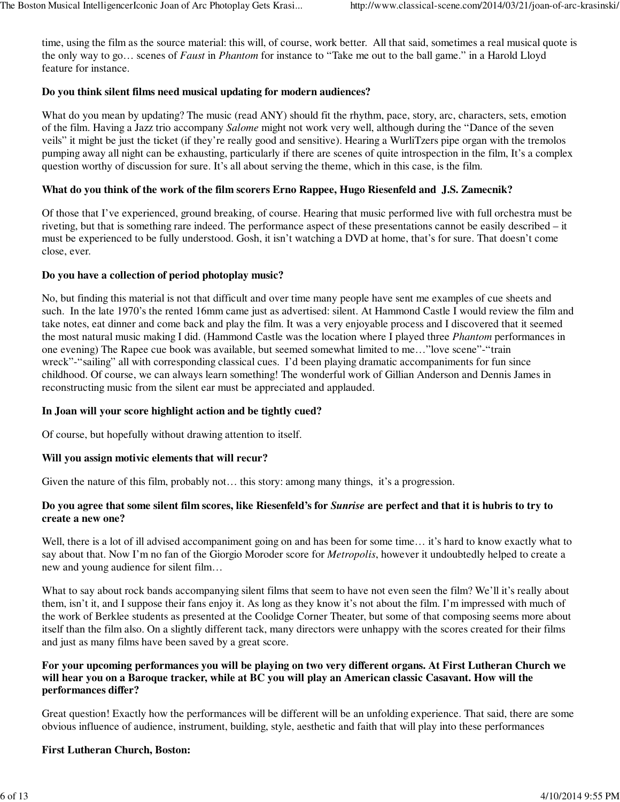time, using the film as the source material: this will, of course, work better. All that said, sometimes a real musical quote is the only way to go… scenes of *Faust* in *Phantom* for instance to "Take me out to the ball game." in a Harold Lloyd feature for instance.

# **Do you think silent films need musical updating for modern audiences?**

What do you mean by updating? The music (read ANY) should fit the rhythm, pace, story, arc, characters, sets, emotion of the film. Having a Jazz trio accompany *Salome* might not work very well, although during the "Dance of the seven veils" it might be just the ticket (if they're really good and sensitive). Hearing a WurliTzers pipe organ with the tremolos pumping away all night can be exhausting, particularly if there are scenes of quite introspection in the film, It's a complex question worthy of discussion for sure. It's all about serving the theme, which in this case, is the film.

# **What do you think of the work of the film scorers Erno Rappee, Hugo Riesenfeld and J.S. Zamecnik?**

Of those that I've experienced, ground breaking, of course. Hearing that music performed live with full orchestra must be riveting, but that is something rare indeed. The performance aspect of these presentations cannot be easily described – it must be experienced to be fully understood. Gosh, it isn't watching a DVD at home, that's for sure. That doesn't come close, ever.

#### **Do you have a collection of period photoplay music?**

No, but finding this material is not that difficult and over time many people have sent me examples of cue sheets and such. In the late 1970's the rented 16mm came just as advertised: silent. At Hammond Castle I would review the film and take notes, eat dinner and come back and play the film. It was a very enjoyable process and I discovered that it seemed the most natural music making I did. (Hammond Castle was the location where I played three *Phantom* performances in one evening) The Rapee cue book was available, but seemed somewhat limited to me…"love scene"-"train wreck"-"sailing" all with corresponding classical cues. I'd been playing dramatic accompaniments for fun since childhood. Of course, we can always learn something! The wonderful work of Gillian Anderson and Dennis James in reconstructing music from the silent ear must be appreciated and applauded.

#### **In Joan will your score highlight action and be tightly cued?**

Of course, but hopefully without drawing attention to itself.

#### **Will you assign motivic elements that will recur?**

Given the nature of this film, probably not... this story: among many things, it's a progression.

# **Do you agree that some silent film scores, like Riesenfeld's for** *Sunrise* **are perfect and that it is hubris to try to create a new one?**

Well, there is a lot of ill advised accompaniment going on and has been for some time... it's hard to know exactly what to say about that. Now I'm no fan of the Giorgio Moroder score for *Metropolis*, however it undoubtedly helped to create a new and young audience for silent film…

What to say about rock bands accompanying silent films that seem to have not even seen the film? We'll it's really about them, isn't it, and I suppose their fans enjoy it. As long as they know it's not about the film. I'm impressed with much of the work of Berklee students as presented at the Coolidge Corner Theater, but some of that composing seems more about itself than the film also. On a slightly different tack, many directors were unhappy with the scores created for their films and just as many films have been saved by a great score.

#### **For your upcoming performances you will be playing on two very different organs. At First Lutheran Church we will hear you on a Baroque tracker, while at BC you will play an American classic Casavant. How will the performances differ?**

Great question! Exactly how the performances will be different will be an unfolding experience. That said, there are some obvious influence of audience, instrument, building, style, aesthetic and faith that will play into these performances

# **First Lutheran Church, Boston:**